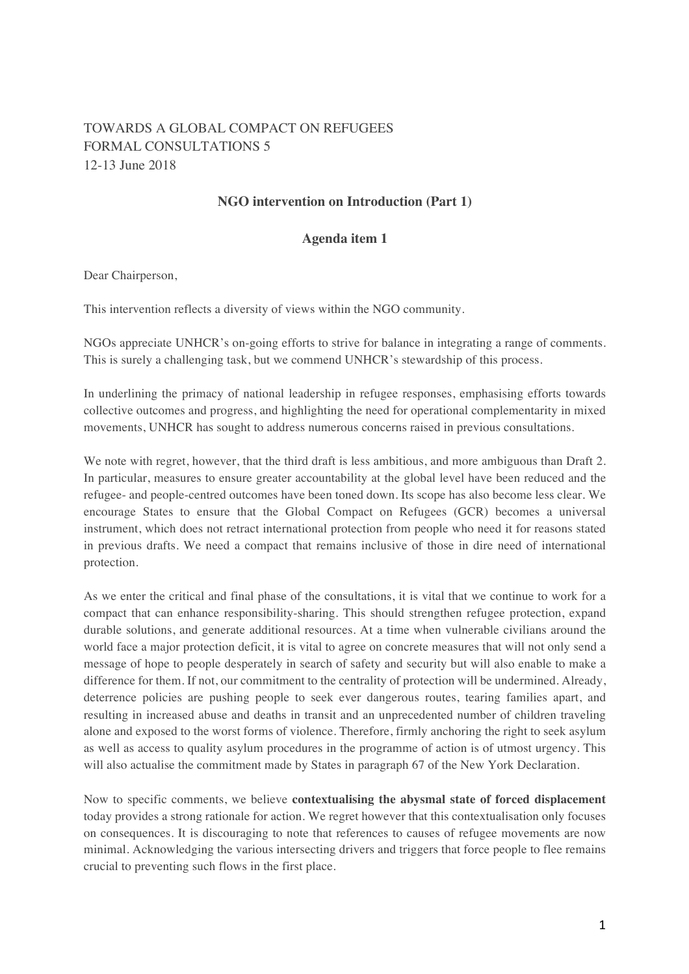## TOWARDS A GLOBAL COMPACT ON REFUGEES FORMAL CONSULTATIONS 5 12-13 June 2018

## **NGO intervention on Introduction (Part 1)**

## **Agenda item 1**

Dear Chairperson,

This intervention reflects a diversity of views within the NGO community.

NGOs appreciate UNHCR's on-going efforts to strive for balance in integrating a range of comments. This is surely a challenging task, but we commend UNHCR's stewardship of this process.

In underlining the primacy of national leadership in refugee responses, emphasising efforts towards collective outcomes and progress, and highlighting the need for operational complementarity in mixed movements, UNHCR has sought to address numerous concerns raised in previous consultations.

We note with regret, however, that the third draft is less ambitious, and more ambiguous than Draft 2. In particular, measures to ensure greater accountability at the global level have been reduced and the refugee- and people-centred outcomes have been toned down. Its scope has also become less clear. We encourage States to ensure that the Global Compact on Refugees (GCR) becomes a universal instrument, which does not retract international protection from people who need it for reasons stated in previous drafts. We need a compact that remains inclusive of those in dire need of international protection.

As we enter the critical and final phase of the consultations, it is vital that we continue to work for a compact that can enhance responsibility-sharing. This should strengthen refugee protection, expand durable solutions, and generate additional resources. At a time when vulnerable civilians around the world face a major protection deficit, it is vital to agree on concrete measures that will not only send a message of hope to people desperately in search of safety and security but will also enable to make a difference for them. If not, our commitment to the centrality of protection will be undermined. Already, deterrence policies are pushing people to seek ever dangerous routes, tearing families apart, and resulting in increased abuse and deaths in transit and an unprecedented number of children traveling alone and exposed to the worst forms of violence. Therefore, firmly anchoring the right to seek asylum as well as access to quality asylum procedures in the programme of action is of utmost urgency. This will also actualise the commitment made by States in paragraph 67 of the New York Declaration.

Now to specific comments, we believe **contextualising the abysmal state of forced displacement** today provides a strong rationale for action. We regret however that this contextualisation only focuses on consequences. It is discouraging to note that references to causes of refugee movements are now minimal. Acknowledging the various intersecting drivers and triggers that force people to flee remains crucial to preventing such flows in the first place.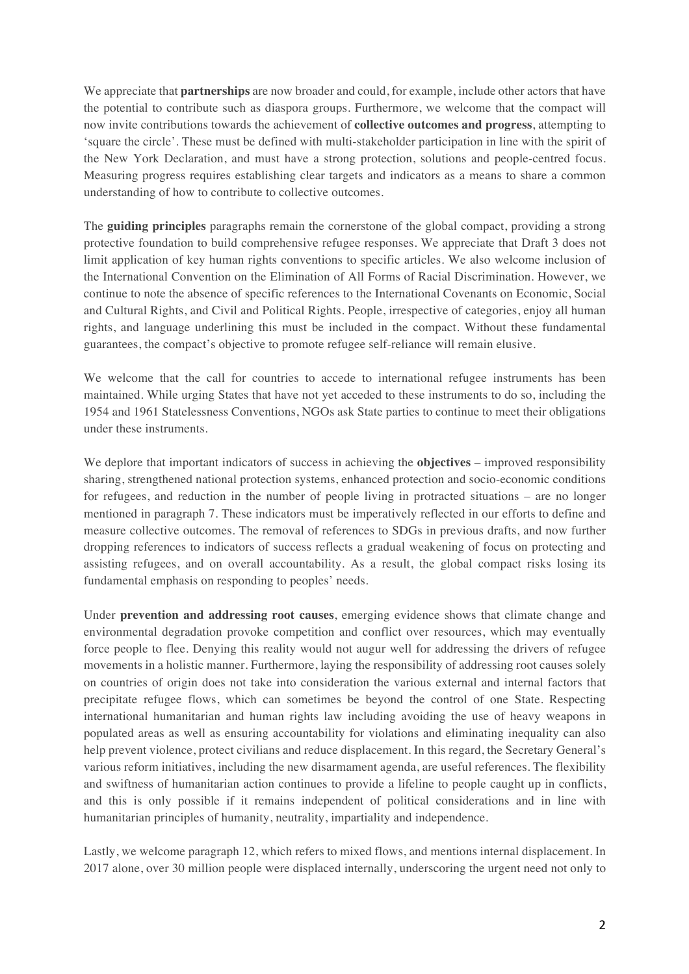We appreciate that **partnerships** are now broader and could, for example, include other actors that have the potential to contribute such as diaspora groups. Furthermore, we welcome that the compact will now invite contributions towards the achievement of **collective outcomes and progress**, attempting to 'square the circle'. These must be defined with multi-stakeholder participation in line with the spirit of the New York Declaration, and must have a strong protection, solutions and people-centred focus. Measuring progress requires establishing clear targets and indicators as a means to share a common understanding of how to contribute to collective outcomes.

The **guiding principles** paragraphs remain the cornerstone of the global compact, providing a strong protective foundation to build comprehensive refugee responses. We appreciate that Draft 3 does not limit application of key human rights conventions to specific articles. We also welcome inclusion of the International Convention on the Elimination of All Forms of Racial Discrimination. However, we continue to note the absence of specific references to the International Covenants on Economic, Social and Cultural Rights, and Civil and Political Rights. People, irrespective of categories, enjoy all human rights, and language underlining this must be included in the compact. Without these fundamental guarantees, the compact's objective to promote refugee self-reliance will remain elusive.

We welcome that the call for countries to accede to international refugee instruments has been maintained. While urging States that have not yet acceded to these instruments to do so, including the 1954 and 1961 Statelessness Conventions, NGOs ask State parties to continue to meet their obligations under these instruments.

We deplore that important indicators of success in achieving the **objectives** – improved responsibility sharing, strengthened national protection systems, enhanced protection and socio-economic conditions for refugees, and reduction in the number of people living in protracted situations – are no longer mentioned in paragraph 7. These indicators must be imperatively reflected in our efforts to define and measure collective outcomes. The removal of references to SDGs in previous drafts, and now further dropping references to indicators of success reflects a gradual weakening of focus on protecting and assisting refugees, and on overall accountability. As a result, the global compact risks losing its fundamental emphasis on responding to peoples' needs.

Under **prevention and addressing root causes**, emerging evidence shows that climate change and environmental degradation provoke competition and conflict over resources, which may eventually force people to flee. Denying this reality would not augur well for addressing the drivers of refugee movements in a holistic manner. Furthermore, laying the responsibility of addressing root causes solely on countries of origin does not take into consideration the various external and internal factors that precipitate refugee flows, which can sometimes be beyond the control of one State. Respecting international humanitarian and human rights law including avoiding the use of heavy weapons in populated areas as well as ensuring accountability for violations and eliminating inequality can also help prevent violence, protect civilians and reduce displacement. In this regard, the Secretary General's various reform initiatives, including the new disarmament agenda, are useful references. The flexibility and swiftness of humanitarian action continues to provide a lifeline to people caught up in conflicts, and this is only possible if it remains independent of political considerations and in line with humanitarian principles of humanity, neutrality, impartiality and independence.

Lastly, we welcome paragraph 12, which refers to mixed flows, and mentions internal displacement. In 2017 alone, over 30 million people were displaced internally, underscoring the urgent need not only to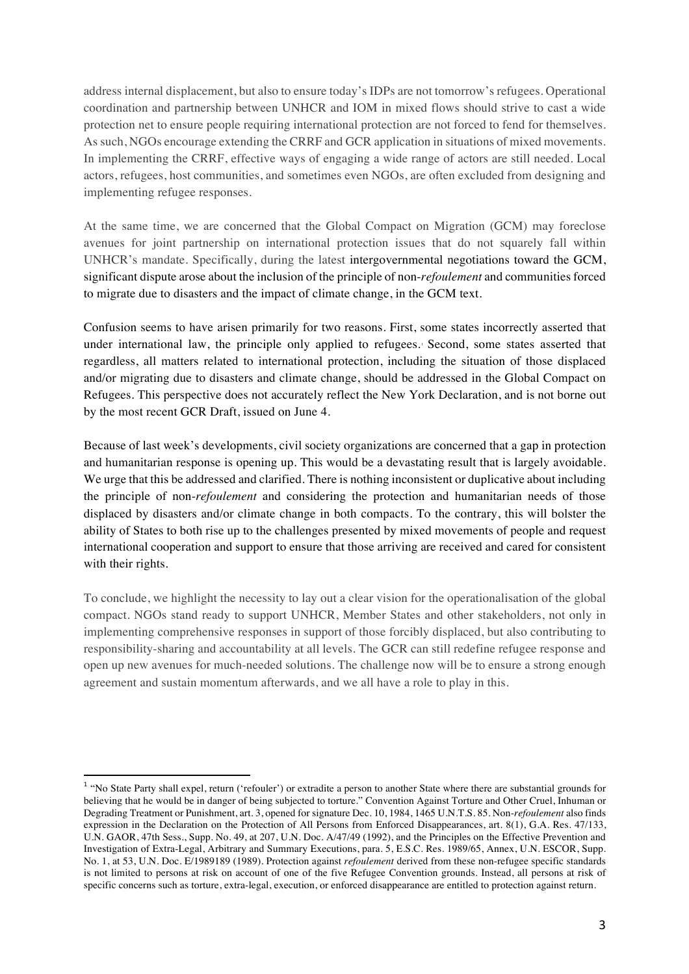address internal displacement, but also to ensure today's IDPs are not tomorrow's refugees. Operational coordination and partnership between UNHCR and IOM in mixed flows should strive to cast a wide protection net to ensure people requiring international protection are not forced to fend for themselves. As such, NGOs encourage extending the CRRF and GCR application in situations of mixed movements. In implementing the CRRF, effective ways of engaging a wide range of actors are still needed. Local actors, refugees, host communities, and sometimes even NGOs, are often excluded from designing and implementing refugee responses.

At the same time, we are concerned that the Global Compact on Migration (GCM) may foreclose avenues for joint partnership on international protection issues that do not squarely fall within UNHCR's mandate. Specifically, during the latest intergovernmental negotiations toward the GCM, significant dispute arose about the inclusion of the principle of non-*refoulement* and communities forced to migrate due to disasters and the impact of climate change, in the GCM text.

Confusion seems to have arisen primarily for two reasons. First, some states incorrectly asserted that under international law, the principle only applied to refugees. Second, some states asserted that regardless, all matters related to international protection, including the situation of those displaced and/or migrating due to disasters and climate change, should be addressed in the Global Compact on Refugees. This perspective does not accurately reflect the New York Declaration, and is not borne out by the most recent GCR Draft, issued on June 4.

Because of last week's developments, civil society organizations are concerned that a gap in protection and humanitarian response is opening up. This would be a devastating result that is largely avoidable. We urge that this be addressed and clarified. There is nothing inconsistent or duplicative about including the principle of non-*refoulement* and considering the protection and humanitarian needs of those displaced by disasters and/or climate change in both compacts. To the contrary, this will bolster the ability of States to both rise up to the challenges presented by mixed movements of people and request international cooperation and support to ensure that those arriving are received and cared for consistent with their rights.

To conclude, we highlight the necessity to lay out a clear vision for the operationalisation of the global compact. NGOs stand ready to support UNHCR, Member States and other stakeholders, not only in implementing comprehensive responses in support of those forcibly displaced, but also contributing to responsibility-sharing and accountability at all levels. The GCR can still redefine refugee response and open up new avenues for much-needed solutions. The challenge now will be to ensure a strong enough agreement and sustain momentum afterwards, and we all have a role to play in this.

<sup>&</sup>lt;sup>1</sup> "No State Party shall expel, return ('refouler') or extradite a person to another State where there are substantial grounds for believing that he would be in danger of being subjected to torture." Convention Against Torture and Other Cruel, Inhuman or Degrading Treatment or Punishment, art. 3, opened for signature Dec. 10, 1984, 1465 U.N.T.S. 85. Non-*refoulement* also finds expression in the Declaration on the Protection of All Persons from Enforced Disappearances, art. 8(1), G.A. Res. 47/133, U.N. GAOR, 47th Sess., Supp. No. 49, at 207, U.N. Doc. A/47/49 (1992), and the Principles on the Effective Prevention and Investigation of Extra-Legal, Arbitrary and Summary Executions, para. 5, E.S.C. Res. 1989/65, Annex, U.N. ESCOR, Supp. No. 1, at 53, U.N. Doc. E/1989189 (1989). Protection against *refoulement* derived from these non-refugee specific standards is not limited to persons at risk on account of one of the five Refugee Convention grounds. Instead, all persons at risk of specific concerns such as torture, extra-legal, execution, or enforced disappearance are entitled to protection against return.